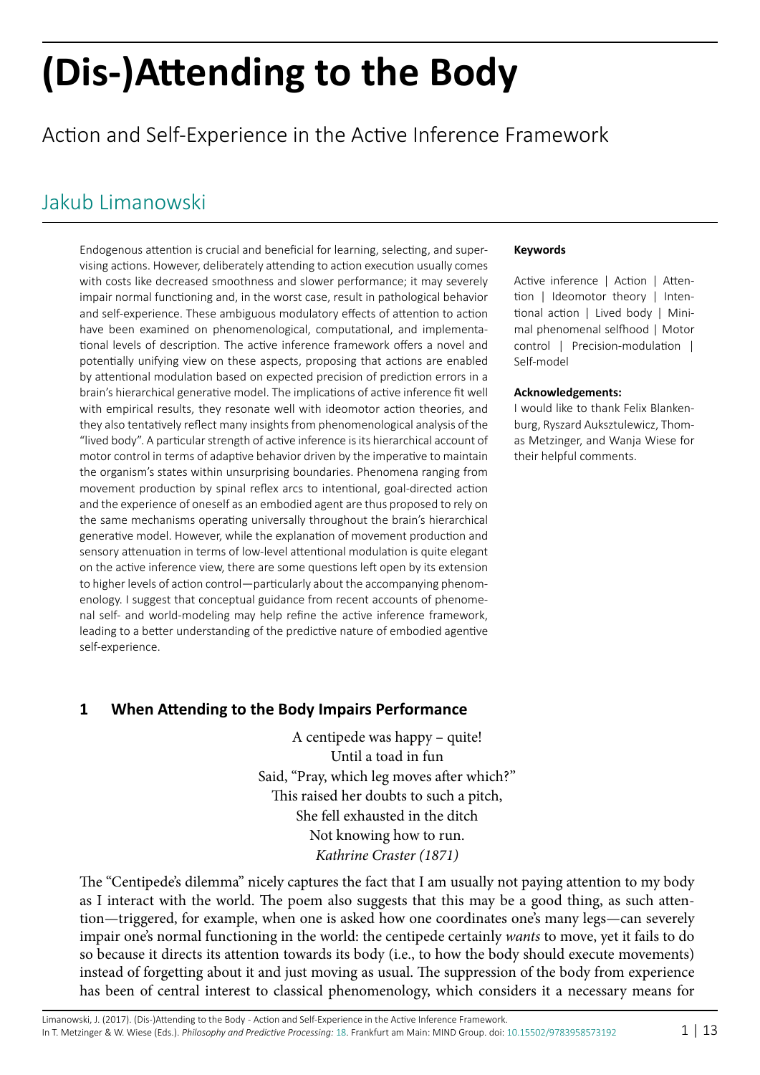# **(Dis-)Attending to the Body**

# Action and Self-Experience in the Active Inference Framework

**Keywords**

Self-model

**Acknowledgements:**

their helpful comments.

Active inference | Action | Attention | Ideomotor theory | Intentional action | Lived body | Minimal phenomenal selfhood | Motor control | Precision-modulation |

I would like to thank Felix Blankenburg, Ryszard Auksztulewicz, Thomas Metzinger, and Wanja Wiese for

# [Jakub Limanowski](http://predictive-mind.net/ppp-contributors/Jakub_Limanowski)

Endogenous attention is crucial and beneficial for learning, selecting, and supervising actions. However, deliberately attending to action execution usually comes with costs like decreased smoothness and slower performance; it may severely impair normal functioning and, in the worst case, result in pathological behavior and self-experience. These ambiguous modulatory effects of attention to action have been examined on phenomenological, computational, and implementational levels of description. The active inference framework offers a novel and potentially unifying view on these aspects, proposing that actions are enabled by attentional modulation based on expected precision of prediction errors in a brain's hierarchical generative model. The implications of active inference fit well with empirical results, they resonate well with ideomotor action theories, and they also tentatively reflect many insights from phenomenological analysis of the "lived body". A particular strength of active inference is its hierarchical account of motor control in terms of adaptive behavior driven by the imperative to maintain the organism's states within unsurprising boundaries. Phenomena ranging from movement production by spinal reflex arcs to intentional, goal-directed action and the experience of oneself as an embodied agent are thus proposed to rely on the same mechanisms operating universally throughout the brain's hierarchical generative model. However, while the explanation of movement production and sensory attenuation in terms of low-level attentional modulation is quite elegant on the active inference view, there are some questions left open by its extension to higher levels of action control—particularly about the accompanying phenomenology. I suggest that conceptual guidance from recent accounts of phenomenal self- and world-modeling may help refine the active inference framework, leading to a better understanding of the predictive nature of embodied agentive self-experience.

# **1 When Attending to the Body Impairs Performance**

A centipede was happy – quite! Until a toad in fun Said, "Pray, which leg moves after which?" This raised her doubts to such a pitch, She fell exhausted in the ditch Not knowing how to run. *Kathrine Craster (1871)*

The "Centipede's dilemma" nicely captures the fact that I am usually not paying attention to my body as I interact with the world. The poem also suggests that this may be a good thing, as such attention—triggered, for example, when one is asked how one coordinates one's many legs—can severely impair one's normal functioning in the world: the centipede certainly *wants* to move, yet it fails to do so because it directs its attention towards its body (i.e., to how the body should execute movements) instead of forgetting about it and just moving as usual. The suppression of the body from experience has been of central interest to classical phenomenology, which considers it a necessary means for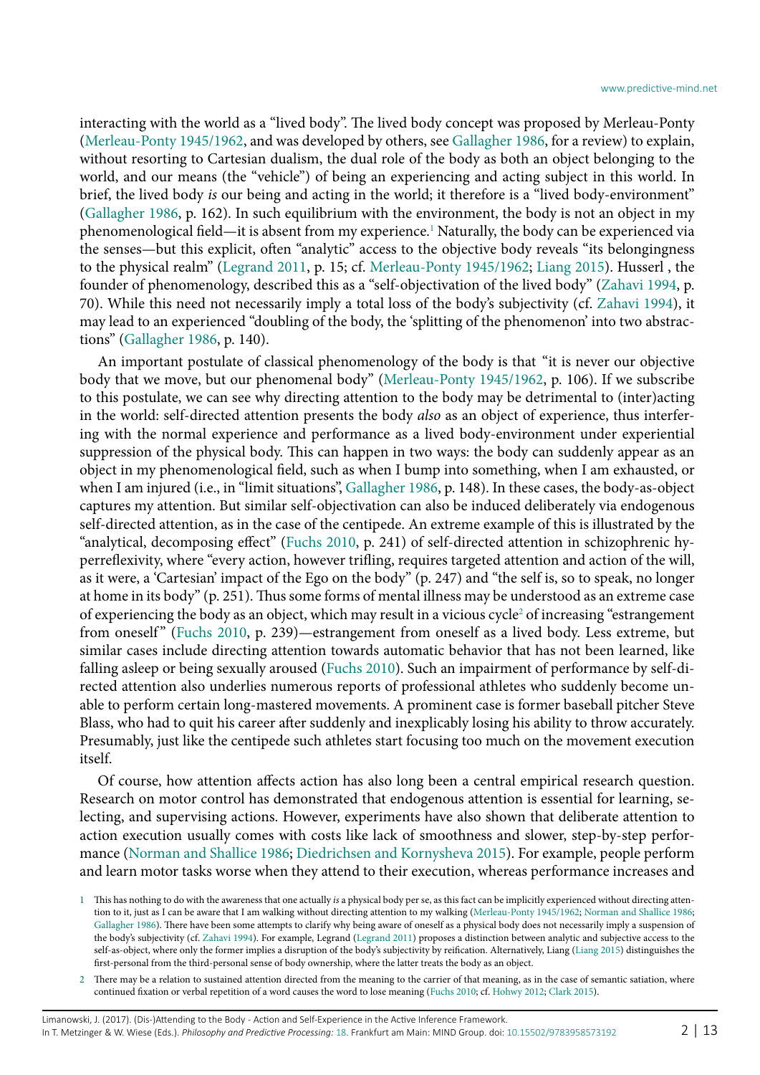interacting with the world as a "lived body". The lived body concept was proposed by Merleau-Ponty ([Merleau-Ponty 1945/1962,](#page-12-0) and was developed by others, see [Gallagher 1986,](#page-11-0) for a review) to explain, without resorting to Cartesian dualism, the dual role of the body as both an object belonging to the world, and our means (the "vehicle") of being an experiencing and acting subject in this world. In brief, the lived body *is* our being and acting in the world; it therefore is a "lived body-environment" ([Gallagher 1986,](#page-11-0) p. 162). In such equilibrium with the environment, the body is not an object in my phenomenological field—it is absent from my experience.<sup>[1](#page-1-0)</sup> Naturally, the body can be experienced via the senses—but this explicit, often "analytic" access to the objective body reveals "its belongingness to the physical realm" [\(Legrand 2011](#page-12-1), p. 15; cf. [Merleau-Ponty 1945/1962;](#page-12-0) [Liang 2015\)](#page-12-2). Husserl , the founder of phenomenology, described this as a "self-objectivation of the lived body" [\(Zahavi 1994](#page-12-3), p. 70). While this need not necessarily imply a total loss of the body's subjectivity (cf. [Zahavi 1994](#page-12-3)), it may lead to an experienced "doubling of the body, the 'splitting of the phenomenon' into two abstractions" [\(Gallagher 1986,](#page-11-0) p. 140).

An important postulate of classical phenomenology of the body is that "it is never our objective body that we move, but our phenomenal body" ([Merleau-Ponty 1945/1962,](#page-12-0) p. 106). If we subscribe to this postulate, we can see why directing attention to the body may be detrimental to (inter)acting in the world: self-directed attention presents the body *also* as an object of experience, thus interfering with the normal experience and performance as a lived body-environment under experiential suppression of the physical body. This can happen in two ways: the body can suddenly appear as an object in my phenomenological field, such as when I bump into something, when I am exhausted, or when I am injured (i.e., in "limit situations", [Gallagher 1986](#page-11-0), p. 148). In these cases, the body-as-object captures my attention. But similar self-objectivation can also be induced deliberately via endogenous self-directed attention, as in the case of the centipede. An extreme example of this is illustrated by the "analytical, decomposing effect" [\(Fuchs 2010,](#page-11-1) p. 241) of self-directed attention in schizophrenic hyperreflexivity, where "every action, however trifling, requires targeted attention and action of the will, as it were, a 'Cartesian' impact of the Ego on the body" (p. 247) and "the self is, so to speak, no longer at home in its body" (p. 251). Thus some forms of mental illness may be understood as an extreme case of experiencing the body as an object, which may result in a vicious cycle<sup>[2](#page-1-1)</sup> of increasing "estrangement from oneself" [\(Fuchs 2010](#page-11-1), p. 239)—estrangement from oneself as a lived body. Less extreme, but similar cases include directing attention towards automatic behavior that has not been learned, like falling asleep or being sexually aroused ([Fuchs 2010\)](#page-11-1). Such an impairment of performance by self-directed attention also underlies numerous reports of professional athletes who suddenly become unable to perform certain long-mastered movements. A prominent case is former baseball pitcher Steve Blass, who had to quit his career after suddenly and inexplicably losing his ability to throw accurately. Presumably, just like the centipede such athletes start focusing too much on the movement execution itself.

Of course, how attention affects action has also long been a central empirical research question. Research on motor control has demonstrated that endogenous attention is essential for learning, selecting, and supervising actions. However, experiments have also shown that deliberate attention to action execution usually comes with costs like lack of smoothness and slower, step-by-step performance ([Norman and Shallice 1986;](#page-12-4) [Diedrichsen and Kornysheva 2015](#page-11-2)). For example, people perform and learn motor tasks worse when they attend to their execution, whereas performance increases and

<span id="page-1-0"></span><sup>1</sup> This has nothing to do with the awareness that one actually *is* a physical body per se, as this fact can be implicitly experienced without directing attention to it, just as I can be aware that I am walking without directing attention to my walking ([Merleau-Ponty 1945/1962](#page-12-0); [Norman and Shallice 1986](#page-12-4); [Gallagher 1986](#page-11-0)). There have been some attempts to clarify why being aware of oneself as a physical body does not necessarily imply a suspension of the body's subjectivity (cf. [Zahavi 1994](#page-12-3)). For example, Legrand [\(Legrand 2011](#page-12-1)) proposes a distinction between analytic and subjective access to the self-as-object, where only the former implies a disruption of the body's subjectivity by reification. Alternatively, Liang ([Liang 2015\)](#page-12-2) distinguishes the first-personal from the third-personal sense of body ownership, where the latter treats the body as an object.

<span id="page-1-1"></span><sup>2</sup> There may be a relation to sustained attention directed from the meaning to the carrier of that meaning, as in the case of semantic satiation, where continued fixation or verbal repetition of a word causes the word to lose meaning ([Fuchs 2010;](#page-11-1) cf. [Hohwy 2012](#page-11-3); [Clark 2015\)](#page-11-4).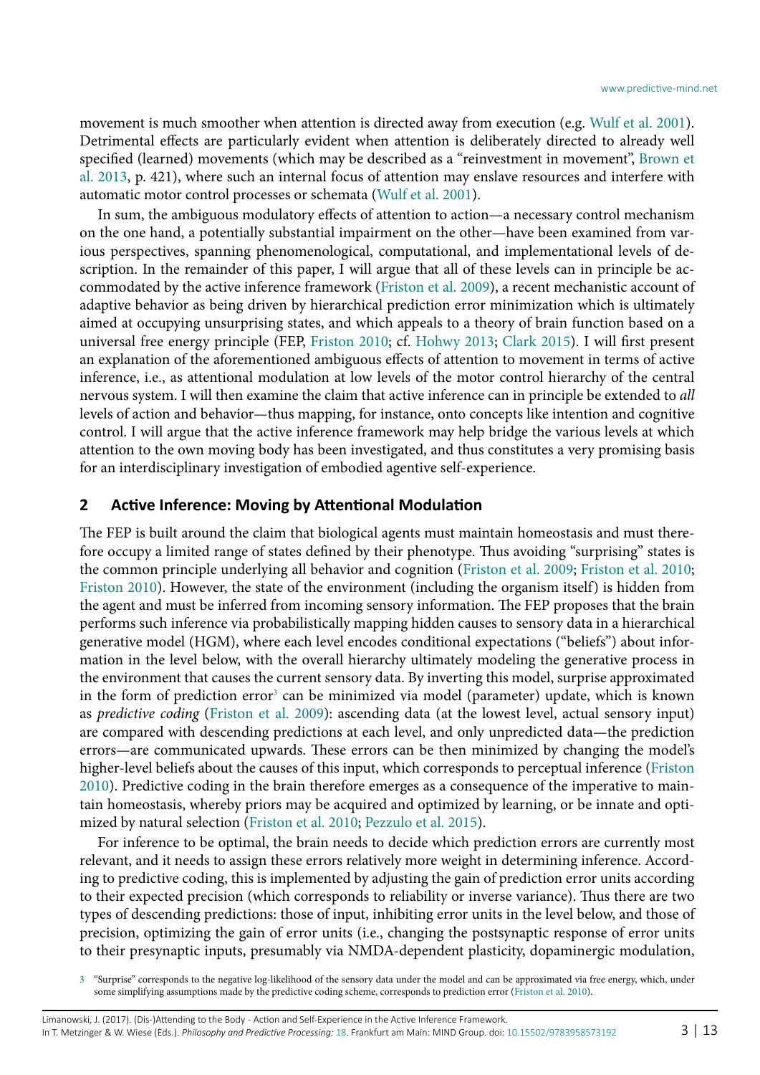movement is much smoother when attention is directed away from execution (e.g. [Wulf et al. 2001](#page-12-5)). Detrimental effects are particularly evident when attention is deliberately directed to already well specified (learned) movements (which may be described as a "reinvestment in movement", [Brown et](#page-11-5) [al. 2013,](#page-11-5) p. 421), where such an internal focus of attention may enslave resources and interfere with automatic motor control processes or schemata [\(Wulf et al. 2001\)](#page-12-5).

In sum, the ambiguous modulatory effects of attention to action—a necessary control mechanism on the one hand, a potentially substantial impairment on the other—have been examined from various perspectives, spanning phenomenological, computational, and implementational levels of description. In the remainder of this paper, I will argue that all of these levels can in principle be accommodated by the active inference framework [\(Friston et al. 2009\)](#page-11-6), a recent mechanistic account of adaptive behavior as being driven by hierarchical prediction error minimization which is ultimately aimed at occupying unsurprising states, and which appeals to a theory of brain function based on a universal free energy principle (FEP, [Friston 2010](#page-11-7); cf. [Hohwy 2013](#page-11-8); [Clark 2015](#page-11-4)). I will first present an explanation of the aforementioned ambiguous effects of attention to movement in terms of active inference, i.e., as attentional modulation at low levels of the motor control hierarchy of the central nervous system. I will then examine the claim that active inference can in principle be extended to *all* levels of action and behavior—thus mapping, for instance, onto concepts like intention and cognitive control. I will argue that the active inference framework may help bridge the various levels at which attention to the own moving body has been investigated, and thus constitutes a very promising basis for an interdisciplinary investigation of embodied agentive self-experience.

#### **2 Active Inference: Moving by Attentional Modulation**

The FEP is built around the claim that biological agents must maintain homeostasis and must therefore occupy a limited range of states defined by their phenotype. Thus avoiding "surprising" states is the common principle underlying all behavior and cognition ([Friston et al. 2009](#page-11-6); [Friston et al. 2010;](#page-11-9) [Friston 2010\)](#page-11-7). However, the state of the environment (including the organism itself) is hidden from the agent and must be inferred from incoming sensory information. The FEP proposes that the brain performs such inference via probabilistically mapping hidden causes to sensory data in a hierarchical generative model (HGM), where each level encodes conditional expectations ("beliefs") about information in the level below, with the overall hierarchy ultimately modeling the generative process in the environment that causes the current sensory data. By inverting this model, surprise approximated in the form of prediction error<sup>3</sup> can be minimized via model (parameter) update, which is known as *predictive coding* [\(Friston et al. 2009\)](#page-11-6): ascending data (at the lowest level, actual sensory input) are compared with descending predictions at each level, and only unpredicted data—the prediction errors—are communicated upwards. These errors can be then minimized by changing the model's higher-level beliefs about the causes of this input, which corresponds to perceptual inference ([Friston](#page-11-7) [2010](#page-11-7)). Predictive coding in the brain therefore emerges as a consequence of the imperative to maintain homeostasis, whereby priors may be acquired and optimized by learning, or be innate and optimized by natural selection [\(Friston et al. 2010](#page-11-9); [Pezzulo et al. 2015](#page-12-6)).

For inference to be optimal, the brain needs to decide which prediction errors are currently most relevant, and it needs to assign these errors relatively more weight in determining inference. According to predictive coding, this is implemented by adjusting the gain of prediction error units according to their expected precision (which corresponds to reliability or inverse variance). Thus there are two types of descending predictions: those of input, inhibiting error units in the level below, and those of precision, optimizing the gain of error units (i.e., changing the postsynaptic response of error units to their presynaptic inputs, presumably via NMDA-dependent plasticity, dopaminergic modulation,

<span id="page-2-0"></span><sup>3</sup> "Surprise" corresponds to the negative log-likelihood of the sensory data under the model and can be approximated via free energy, which, under some simplifying assumptions made by the predictive coding scheme, corresponds to prediction error [\(Friston et al. 2010\)](#page-11-9).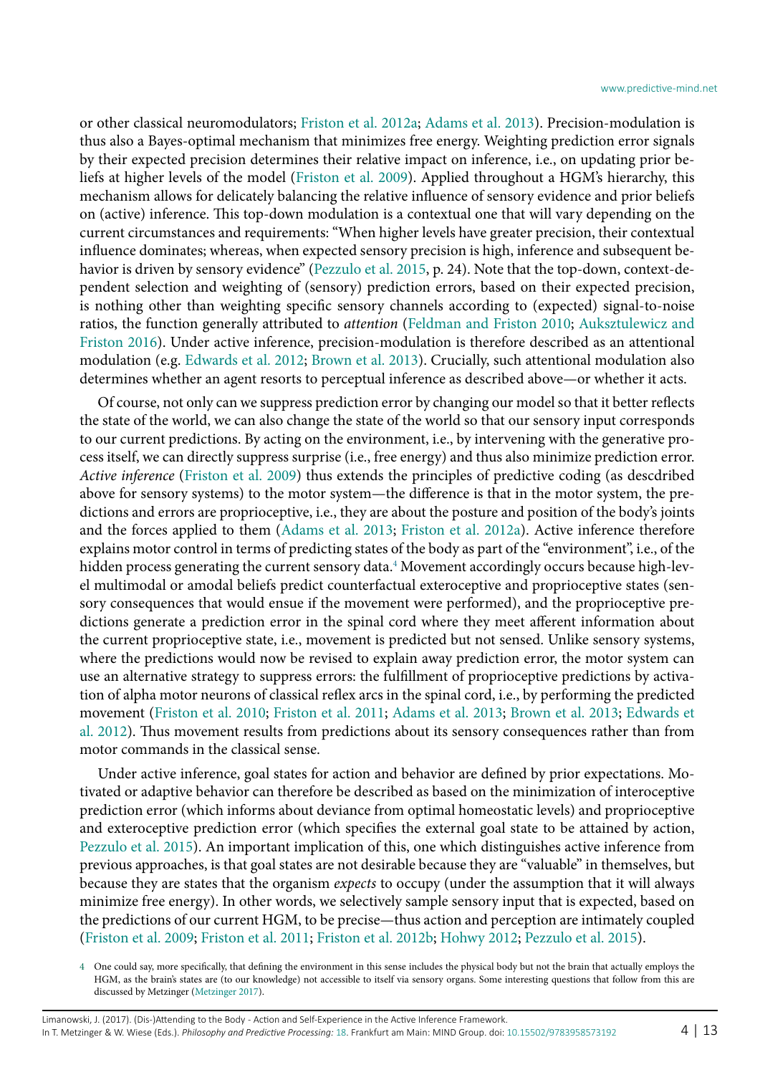or other classical neuromodulators; [Friston et al. 2012a](#page-11-10); [Adams et al. 2013\)](#page-11-11). Precision-modulation is thus also a Bayes-optimal mechanism that minimizes free energy. Weighting prediction error signals by their expected precision determines their relative impact on inference, i.e., on updating prior beliefs at higher levels of the model ([Friston et al. 2009](#page-11-6)). Applied throughout a HGM's hierarchy, this mechanism allows for delicately balancing the relative influence of sensory evidence and prior beliefs on (active) inference. This top-down modulation is a contextual one that will vary depending on the current circumstances and requirements: "When higher levels have greater precision, their contextual influence dominates; whereas, when expected sensory precision is high, inference and subsequent behavior is driven by sensory evidence" ([Pezzulo et al. 2015,](#page-12-6) p. 24). Note that the top-down, context-dependent selection and weighting of (sensory) prediction errors, based on their expected precision, is nothing other than weighting specific sensory channels according to (expected) signal-to-noise ratios, the function generally attributed to *attention* ([Feldman and Friston 2010](#page-11-12); [Auksztulewicz and](#page-11-13) [Friston 2016](#page-11-13)). Under active inference, precision-modulation is therefore described as an attentional modulation (e.g. [Edwards et al. 2012](#page-11-14); [Brown et al. 2013\)](#page-11-5). Crucially, such attentional modulation also determines whether an agent resorts to perceptual inference as described above—or whether it acts.

Of course, not only can we suppress prediction error by changing our model so that it better reflects the state of the world, we can also change the state of the world so that our sensory input corresponds to our current predictions. By acting on the environment, i.e., by intervening with the generative process itself, we can directly suppress surprise (i.e., free energy) and thus also minimize prediction error. *Active inference* [\(Friston et al. 2009](#page-11-6)) thus extends the principles of predictive coding (as descdribed above for sensory systems) to the motor system—the difference is that in the motor system, the predictions and errors are proprioceptive, i.e., they are about the posture and position of the body's joints and the forces applied to them [\(Adams et al. 2013;](#page-11-11) [Friston et al. 2012a](#page-11-10)). Active inference therefore explains motor control in terms of predicting states of the body as part of the "environment", i.e., of the hidden process generating the current sensory data.<sup>[4](#page-3-0)</sup> Movement accordingly occurs because high-level multimodal or amodal beliefs predict counterfactual exteroceptive and proprioceptive states (sensory consequences that would ensue if the movement were performed), and the proprioceptive predictions generate a prediction error in the spinal cord where they meet afferent information about the current proprioceptive state, i.e., movement is predicted but not sensed. Unlike sensory systems, where the predictions would now be revised to explain away prediction error, the motor system can use an alternative strategy to suppress errors: the fulfillment of proprioceptive predictions by activation of alpha motor neurons of classical reflex arcs in the spinal cord, i.e., by performing the predicted movement ([Friston et al. 2010](#page-11-9); [Friston et al. 2011](#page-11-15); [Adams et al. 2013;](#page-11-11) [Brown et al. 2013;](#page-11-5) [Edwards et](#page-11-14) [al. 2012\)](#page-11-14). Thus movement results from predictions about its sensory consequences rather than from motor commands in the classical sense.

Under active inference, goal states for action and behavior are defined by prior expectations. Motivated or adaptive behavior can therefore be described as based on the minimization of interoceptive prediction error (which informs about deviance from optimal homeostatic levels) and proprioceptive and exteroceptive prediction error (which specifies the external goal state to be attained by action, [Pezzulo et al. 2015](#page-12-6)). An important implication of this, one which distinguishes active inference from previous approaches, is that goal states are not desirable because they are "valuable" in themselves, but because they are states that the organism *expects* to occupy (under the assumption that it will always minimize free energy). In other words, we selectively sample sensory input that is expected, based on the predictions of our current HGM, to be precise—thus action and perception are intimately coupled ([Friston et al. 2009;](#page-11-6) [Friston et al. 2011;](#page-11-15) [Friston et al. 2012](#page-11-16)b; [Hohwy 2012;](#page-11-3) [Pezzulo et al. 2015](#page-12-6)).

<span id="page-3-0"></span><sup>4</sup> One could say, more specifically, that defining the environment in this sense includes the physical body but not the brain that actually employs the HGM, as the brain's states are (to our knowledge) not accessible to itself via sensory organs. Some interesting questions that follow from this are discussed by Metzinger ([Metzinger 2017\)](#page-12-7).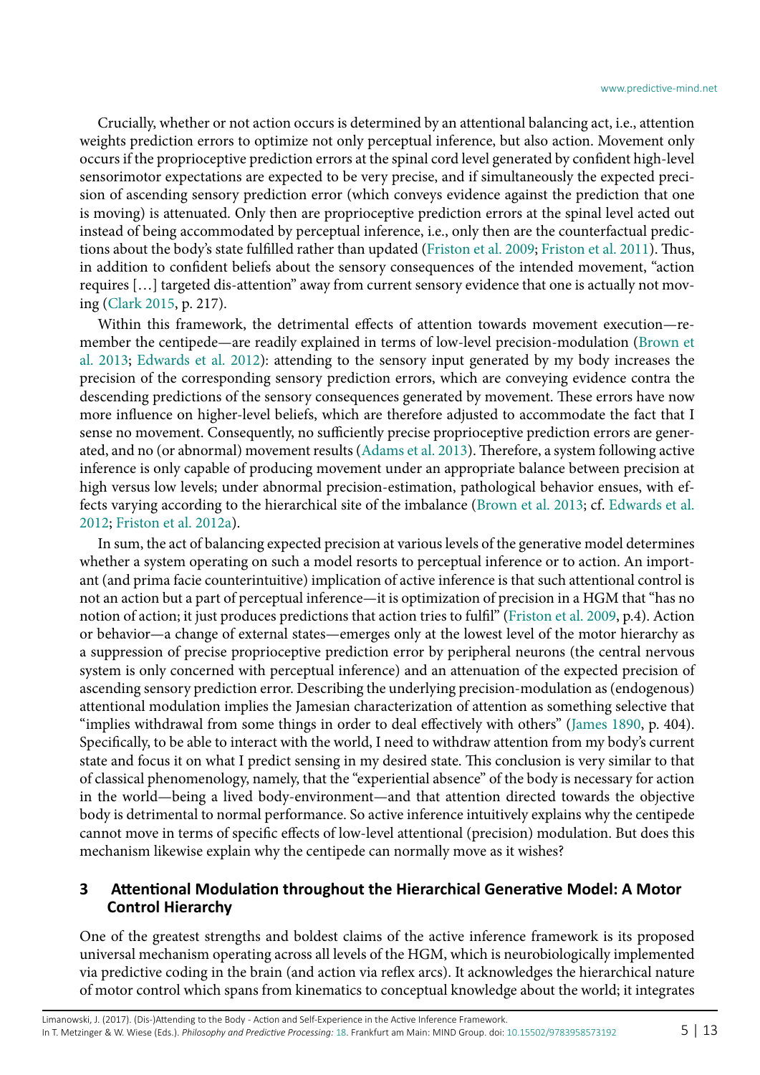Crucially, whether or not action occurs is determined by an attentional balancing act, i.e., attention weights prediction errors to optimize not only perceptual inference, but also action. Movement only occurs if the proprioceptive prediction errors at the spinal cord level generated by confident high-level sensorimotor expectations are expected to be very precise, and if simultaneously the expected precision of ascending sensory prediction error (which conveys evidence against the prediction that one is moving) is attenuated. Only then are proprioceptive prediction errors at the spinal level acted out instead of being accommodated by perceptual inference, i.e., only then are the counterfactual predictions about the body's state fulfilled rather than updated [\(Friston et al. 2009;](#page-11-6) [Friston et al. 2011\)](#page-11-15). Thus, in addition to confident beliefs about the sensory consequences of the intended movement, "action requires […] targeted dis-attention" away from current sensory evidence that one is actually not moving ([Clark 2015,](#page-11-4) p. 217).

Within this framework, the detrimental effects of attention towards movement execution—remember the centipede—are readily explained in terms of low-level precision-modulation [\(Brown et](#page-11-5) [al. 2013](#page-11-5); [Edwards et al. 2012\)](#page-11-14): attending to the sensory input generated by my body increases the precision of the corresponding sensory prediction errors, which are conveying evidence contra the descending predictions of the sensory consequences generated by movement. These errors have now more influence on higher-level beliefs, which are therefore adjusted to accommodate the fact that I sense no movement. Consequently, no sufficiently precise proprioceptive prediction errors are generated, and no (or abnormal) movement results [\(Adams et al. 2013](#page-11-11)). Therefore, a system following active inference is only capable of producing movement under an appropriate balance between precision at high versus low levels; under abnormal precision-estimation, pathological behavior ensues, with effects varying according to the hierarchical site of the imbalance [\(Brown et al. 2013](#page-11-5); cf. [Edwards et al.](#page-11-14) [2012](#page-11-14); [Friston et al. 2012](#page-11-10)a).

In sum, the act of balancing expected precision at various levels of the generative model determines whether a system operating on such a model resorts to perceptual inference or to action. An important (and prima facie counterintuitive) implication of active inference is that such attentional control is not an action but a part of perceptual inference—it is optimization of precision in a HGM that "has no notion of action; it just produces predictions that action tries to fulfil" [\(Friston et al. 2009,](#page-11-6) p.4). Action or behavior—a change of external states—emerges only at the lowest level of the motor hierarchy as a suppression of precise proprioceptive prediction error by peripheral neurons (the central nervous system is only concerned with perceptual inference) and an attenuation of the expected precision of ascending sensory prediction error. Describing the underlying precision-modulation as (endogenous) attentional modulation implies the Jamesian characterization of attention as something selective that "implies withdrawal from some things in order to deal effectively with others" ([James 1890](#page-11-17), p. 404). Specifically, to be able to interact with the world, I need to withdraw attention from my body's current state and focus it on what I predict sensing in my desired state. This conclusion is very similar to that of classical phenomenology, namely, that the "experiential absence" of the body is necessary for action in the world—being a lived body-environment—and that attention directed towards the objective body is detrimental to normal performance. So active inference intuitively explains why the centipede cannot move in terms of specific effects of low-level attentional (precision) modulation. But does this mechanism likewise explain why the centipede can normally move as it wishes?

### **3 Attentional Modulation throughout the Hierarchical Generative Model: A Motor Control Hierarchy**

One of the greatest strengths and boldest claims of the active inference framework is its proposed universal mechanism operating across all levels of the HGM, which is neurobiologically implemented via predictive coding in the brain (and action via reflex arcs). It acknowledges the hierarchical nature of motor control which spans from kinematics to conceptual knowledge about the world; it integrates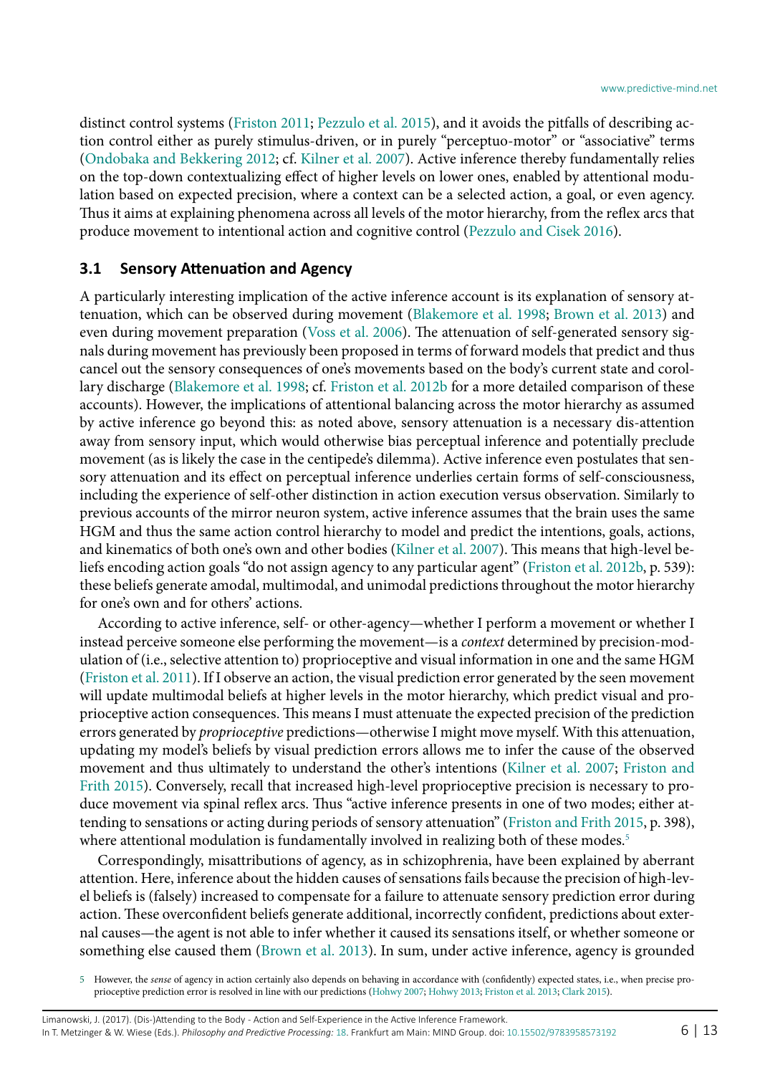distinct control systems ([Friston 2011](#page-11-18); [Pezzulo et al. 2015](#page-12-6)), and it avoids the pitfalls of describing action control either as purely stimulus-driven, or in purely "perceptuo-motor" or "associative" terms ([Ondobaka and Bekkering 2012;](#page-12-8) cf. [Kilner et al. 2007](#page-12-9)). Active inference thereby fundamentally relies on the top-down contextualizing effect of higher levels on lower ones, enabled by attentional modulation based on expected precision, where a context can be a selected action, a goal, or even agency. Thus it aims at explaining phenomena across all levels of the motor hierarchy, from the reflex arcs that produce movement to intentional action and cognitive control [\(Pezzulo and Cisek 2016](#page-12-10)).

## **3.1 Sensory Attenuation and Agency**

A particularly interesting implication of the active inference account is its explanation of sensory attenuation, which can be observed during movement [\(Blakemore et al. 1998;](#page-11-19) [Brown et al. 2013\)](#page-11-5) and even during movement preparation ([Voss et al. 2006](#page-12-11)). The attenuation of self-generated sensory signals during movement has previously been proposed in terms of forward models that predict and thus cancel out the sensory consequences of one's movements based on the body's current state and corollary discharge [\(Blakemore et al. 1998](#page-11-19); cf. [Friston et al. 2012b](#page-11-16) for a more detailed comparison of these accounts). However, the implications of attentional balancing across the motor hierarchy as assumed by active inference go beyond this: as noted above, sensory attenuation is a necessary dis-attention away from sensory input, which would otherwise bias perceptual inference and potentially preclude movement (as is likely the case in the centipede's dilemma). Active inference even postulates that sensory attenuation and its effect on perceptual inference underlies certain forms of self-consciousness, including the experience of self-other distinction in action execution versus observation. Similarly to previous accounts of the mirror neuron system, active inference assumes that the brain uses the same HGM and thus the same action control hierarchy to model and predict the intentions, goals, actions, and kinematics of both one's own and other bodies [\(Kilner et al. 2007](#page-12-9)). This means that high-level beliefs encoding action goals "do not assign agency to any particular agent" [\(Friston et al. 2012b,](#page-11-16) p. 539): these beliefs generate amodal, multimodal, and unimodal predictions throughout the motor hierarchy for one's own and for others' actions.

According to active inference, self- or other-agency—whether I perform a movement or whether I instead perceive someone else performing the movement—is a *context* determined by precision-modulation of (i.e., selective attention to) proprioceptive and visual information in one and the same HGM ([Friston et al. 2011](#page-11-15)). If I observe an action, the visual prediction error generated by the seen movement will update multimodal beliefs at higher levels in the motor hierarchy, which predict visual and proprioceptive action consequences. This means I must attenuate the expected precision of the prediction errors generated by *proprioceptive* predictions—otherwise I might move myself. With this attenuation, updating my model's beliefs by visual prediction errors allows me to infer the cause of the observed movement and thus ultimately to understand the other's intentions [\(Kilner et al. 2007;](#page-12-9) [Friston and](#page-11-20) [Frith 2015](#page-11-20)). Conversely, recall that increased high-level proprioceptive precision is necessary to produce movement via spinal reflex arcs. Thus "active inference presents in one of two modes; either attending to sensations or acting during periods of sensory attenuation" [\(Friston and Frith 2015](#page-11-20), p. 398), where attentional modulation is fundamentally involved in realizing both of these modes.<sup>[5](#page-5-0)</sup>

Correspondingly, misattributions of agency, as in schizophrenia, have been explained by aberrant attention. Here, inference about the hidden causes of sensations fails because the precision of high-level beliefs is (falsely) increased to compensate for a failure to attenuate sensory prediction error during action. These overconfident beliefs generate additional, incorrectly confident, predictions about external causes—the agent is not able to infer whether it caused its sensations itself, or whether someone or something else caused them ([Brown et al. 2013](#page-11-5)). In sum, under active inference, agency is grounded

<span id="page-5-0"></span><sup>5</sup> However, the *sense* of agency in action certainly also depends on behaving in accordance with (confidently) expected states, i.e., when precise proprioceptive prediction error is resolved in line with our predictions ([Hohwy 2007](#page-11-21); [Hohwy 2013](#page-11-8); [Friston et al. 2013;](#page-11-22) [Clark 2015](#page-11-4)).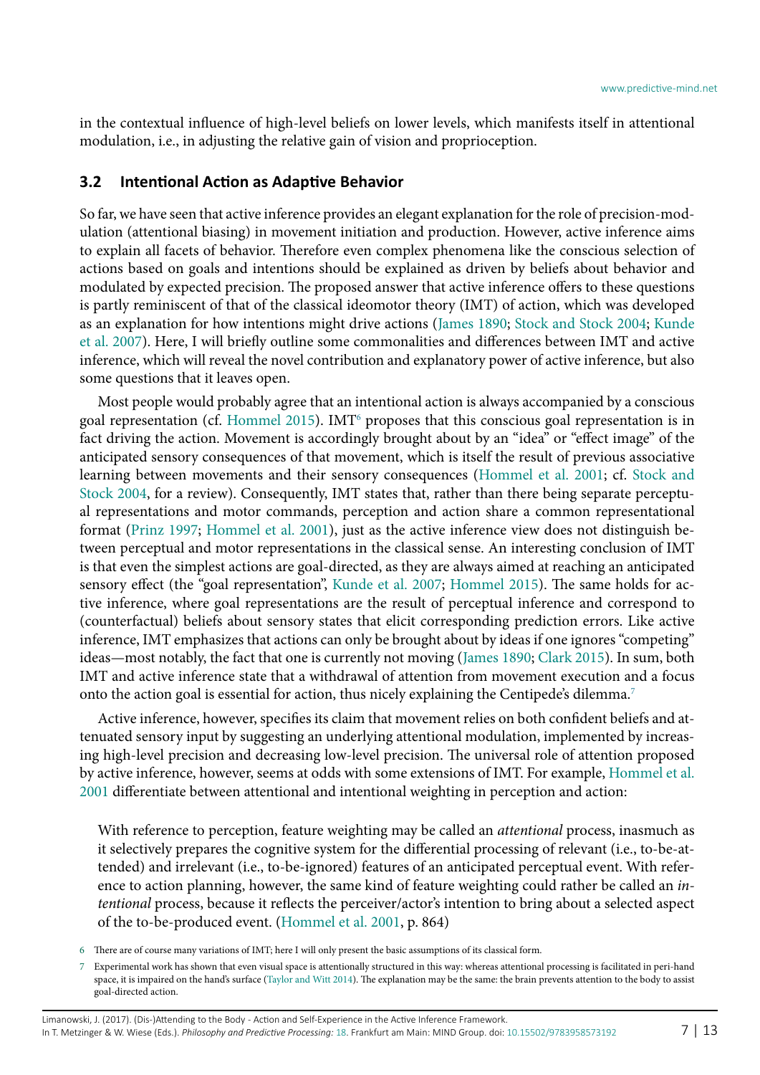in the contextual influence of high-level beliefs on lower levels, which manifests itself in attentional modulation, i.e., in adjusting the relative gain of vision and proprioception.

#### **3.2 Intentional Action as Adaptive Behavior**

So far, we have seen that active inference provides an elegant explanation for the role of precision-modulation (attentional biasing) in movement initiation and production. However, active inference aims to explain all facets of behavior. Therefore even complex phenomena like the conscious selection of actions based on goals and intentions should be explained as driven by beliefs about behavior and modulated by expected precision. The proposed answer that active inference offers to these questions is partly reminiscent of that of the classical ideomotor theory (IMT) of action, which was developed as an explanation for how intentions might drive actions ([James 1890](#page-11-17); [Stock and Stock 2004](#page-12-12); [Kunde](#page-12-13) [et al. 2007](#page-12-13)). Here, I will briefly outline some commonalities and differences between IMT and active inference, which will reveal the novel contribution and explanatory power of active inference, but also some questions that it leaves open.

Most people would probably agree that an intentional action is always accompanied by a conscious goal representation (cf. [Hommel 2015\)](#page-11-23). IMT<sup>6</sup> proposes that this conscious goal representation is in fact driving the action. Movement is accordingly brought about by an "idea" or "effect image" of the anticipated sensory consequences of that movement, which is itself the result of previous associative learning between movements and their sensory consequences ([Hommel et al. 2001](#page-11-24); cf. [Stock and](#page-12-12) [Stock 2004,](#page-12-12) for a review). Consequently, IMT states that, rather than there being separate perceptual representations and motor commands, perception and action share a common representational format ([Prinz 1997](#page-12-14); [Hommel et al. 2001\)](#page-11-24), just as the active inference view does not distinguish between perceptual and motor representations in the classical sense. An interesting conclusion of IMT is that even the simplest actions are goal-directed, as they are always aimed at reaching an anticipated sensory effect (the "goal representation", [Kunde et al. 2007](#page-12-13); [Hommel 2015\)](#page-11-23). The same holds for active inference, where goal representations are the result of perceptual inference and correspond to (counterfactual) beliefs about sensory states that elicit corresponding prediction errors. Like active inference, IMT emphasizes that actions can only be brought about by ideas if one ignores "competing" ideas—most notably, the fact that one is currently not moving ([James 1890](#page-11-17); [Clark 2015\)](#page-11-4). In sum, both IMT and active inference state that a withdrawal of attention from movement execution and a focus onto the action goal is essential for action, thus nicely explaining the Centipede's dilemma.<sup>7</sup>

Active inference, however, specifies its claim that movement relies on both confident beliefs and attenuated sensory input by suggesting an underlying attentional modulation, implemented by increasing high-level precision and decreasing low-level precision. The universal role of attention proposed by active inference, however, seems at odds with some extensions of IMT. For example, [Hommel et al.](#page-11-24) [2001](#page-11-24) differentiate between attentional and intentional weighting in perception and action:

With reference to perception, feature weighting may be called an *attentional* process, inasmuch as it selectively prepares the cognitive system for the differential processing of relevant (i.e., to-be-attended) and irrelevant (i.e., to-be-ignored) features of an anticipated perceptual event. With reference to action planning, however, the same kind of feature weighting could rather be called an *intentional* process, because it reflects the perceiver/actor's intention to bring about a selected aspect of the to-be-produced event. [\(Hommel et al. 2001,](#page-11-24) p. 864)

<span id="page-6-0"></span><sup>6</sup> There are of course many variations of IMT; here I will only present the basic assumptions of its classical form.

<span id="page-6-1"></span><sup>7</sup> Experimental work has shown that even visual space is attentionally structured in this way: whereas attentional processing is facilitated in peri-hand space, it is impaired on the hand's surface [\(Taylor and Witt 2014](#page-12-15)). The explanation may be the same: the brain prevents attention to the body to assist goal-directed action.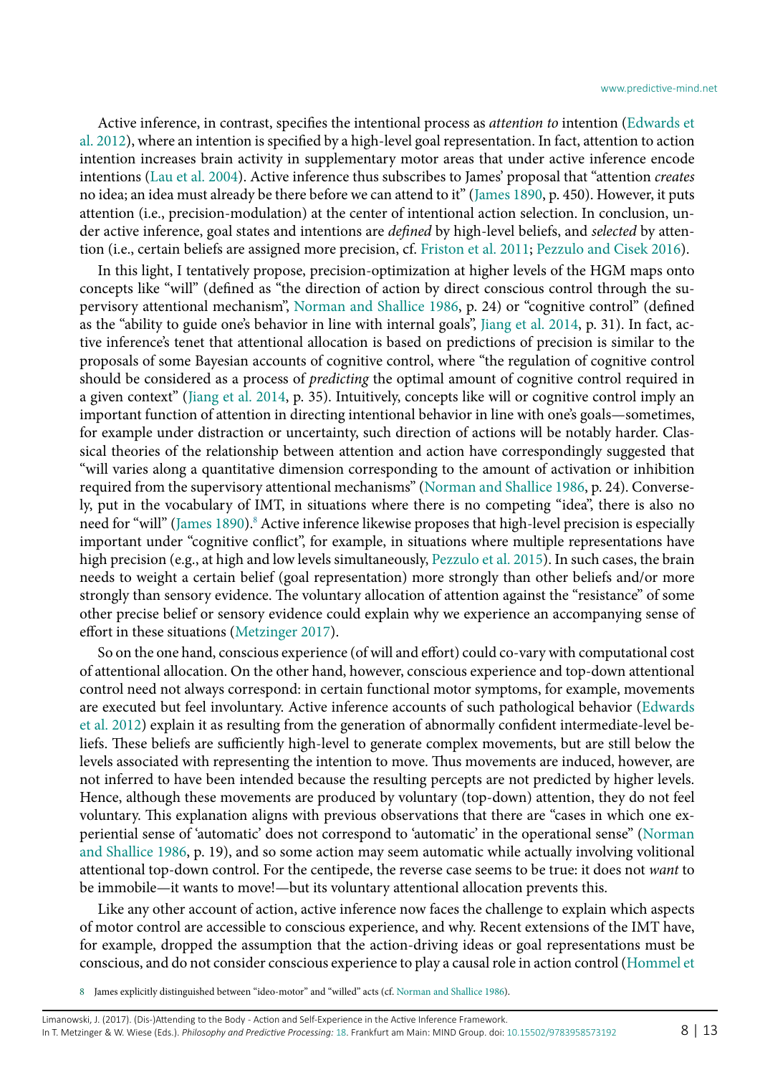Active inference, in contrast, specifies the intentional process as *attention to* intention [\(Edwards et](#page-11-14) [al. 2012\)](#page-11-14), where an intention is specified by a high-level goal representation. In fact, attention to action intention increases brain activity in supplementary motor areas that under active inference encode intentions ([Lau et al. 2004](#page-12-16)). Active inference thus subscribes to James' proposal that "attention *creates* no idea; an idea must already be there before we can attend to it" ([James 1890,](#page-11-17) p. 450). However, it puts attention (i.e., precision-modulation) at the center of intentional action selection. In conclusion, under active inference, goal states and intentions are *defined* by high-level beliefs, and *selected* by attention (i.e., certain beliefs are assigned more precision, cf. [Friston et al. 2011;](#page-11-15) [Pezzulo and Cisek 2016](#page-12-10)).

In this light, I tentatively propose, precision-optimization at higher levels of the HGM maps onto concepts like "will" (defined as "the direction of action by direct conscious control through the supervisory attentional mechanism", [Norman and Shallice 1986](#page-12-4), p. 24) or "cognitive control" (defined as the "ability to guide one's behavior in line with internal goals", [Jiang et al. 2014](#page-11-25), p. 31). In fact, active inference's tenet that attentional allocation is based on predictions of precision is similar to the proposals of some Bayesian accounts of cognitive control, where "the regulation of cognitive control should be considered as a process of *predicting* the optimal amount of cognitive control required in a given context" [\(Jiang et al. 2014,](#page-11-25) p. 35). Intuitively, concepts like will or cognitive control imply an important function of attention in directing intentional behavior in line with one's goals—sometimes, for example under distraction or uncertainty, such direction of actions will be notably harder. Classical theories of the relationship between attention and action have correspondingly suggested that "will varies along a quantitative dimension corresponding to the amount of activation or inhibition required from the supervisory attentional mechanisms" [\(Norman and Shallice 1986](#page-12-4), p. 24). Conversely, put in the vocabulary of IMT, in situations where there is no competing "idea", there is also no need for "will" ([James 1890](#page-11-17)).<sup>8</sup> Active inference likewise proposes that high-level precision is especially important under "cognitive conflict", for example, in situations where multiple representations have high precision (e.g., at high and low levels simultaneously, [Pezzulo et al. 2015](#page-12-6)). In such cases, the brain needs to weight a certain belief (goal representation) more strongly than other beliefs and/or more strongly than sensory evidence. The voluntary allocation of attention against the "resistance" of some other precise belief or sensory evidence could explain why we experience an accompanying sense of effort in these situations [\(Metzinger 2017\)](#page-12-7).

So on the one hand, conscious experience (of will and effort) could co-vary with computational cost of attentional allocation. On the other hand, however, conscious experience and top-down attentional control need not always correspond: in certain functional motor symptoms, for example, movements are executed but feel involuntary. Active inference accounts of such pathological behavior ([Edwards](#page-11-14) [et al. 2012\)](#page-11-14) explain it as resulting from the generation of abnormally confident intermediate-level beliefs. These beliefs are sufficiently high-level to generate complex movements, but are still below the levels associated with representing the intention to move. Thus movements are induced, however, are not inferred to have been intended because the resulting percepts are not predicted by higher levels. Hence, although these movements are produced by voluntary (top-down) attention, they do not feel voluntary. This explanation aligns with previous observations that there are "cases in which one experiential sense of 'automatic' does not correspond to 'automatic' in the operational sense" ([Norman](#page-12-4) [and Shallice 1986](#page-12-4), p. 19), and so some action may seem automatic while actually involving volitional attentional top-down control. For the centipede, the reverse case seems to be true: it does not *want* to be immobile—it wants to move!—but its voluntary attentional allocation prevents this.

Like any other account of action, active inference now faces the challenge to explain which aspects of motor control are accessible to conscious experience, and why. Recent extensions of the IMT have, for example, dropped the assumption that the action-driving ideas or goal representations must be conscious, and do not consider conscious experience to play a causal role in action control ([Hommel et](#page-11-24)

<span id="page-7-0"></span>8 James explicitly distinguished between "ideo-motor" and "willed" acts (cf. [Norman and Shallice 1986](#page-12-4)).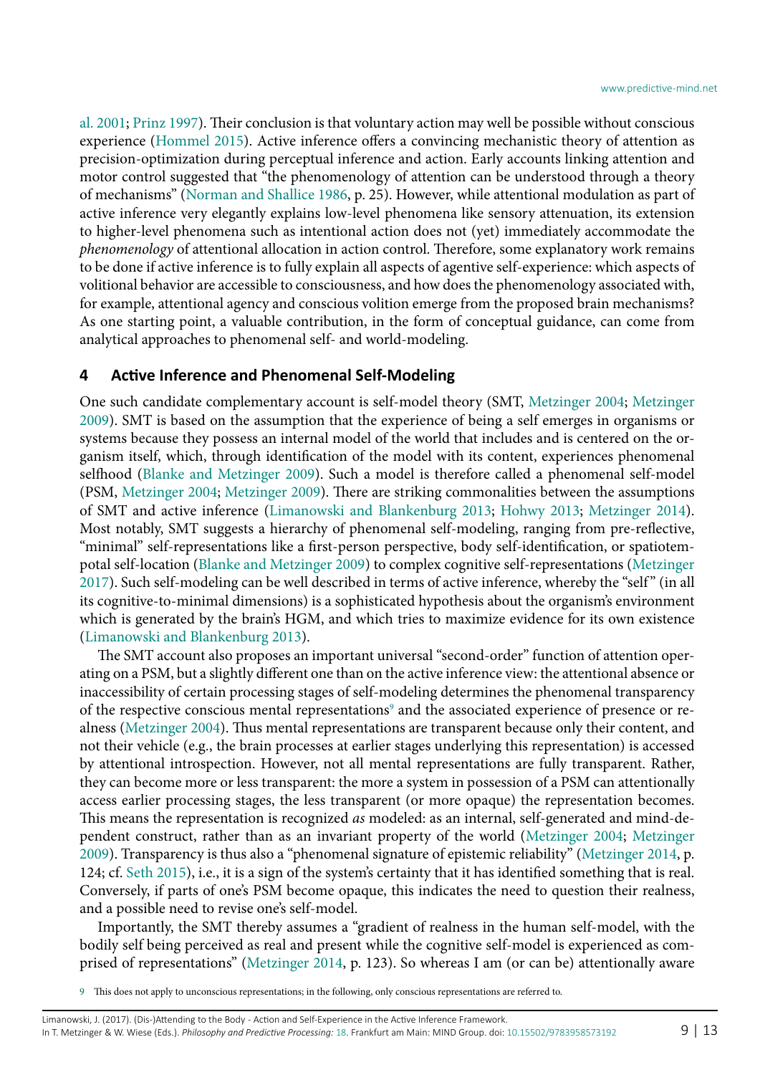[al. 2001;](#page-11-24) [Prinz 1997](#page-12-14)). Their conclusion is that voluntary action may well be possible without conscious experience ([Hommel 2015\)](#page-11-23). Active inference offers a convincing mechanistic theory of attention as precision-optimization during perceptual inference and action. Early accounts linking attention and motor control suggested that "the phenomenology of attention can be understood through a theory of mechanisms" ([Norman and Shallice 1986](#page-12-4), p. 25). However, while attentional modulation as part of active inference very elegantly explains low-level phenomena like sensory attenuation, its extension to higher-level phenomena such as intentional action does not (yet) immediately accommodate the *phenomenology* of attentional allocation in action control. Therefore, some explanatory work remains to be done if active inference is to fully explain all aspects of agentive self-experience: which aspects of volitional behavior are accessible to consciousness, and how does the phenomenology associated with, for example, attentional agency and conscious volition emerge from the proposed brain mechanisms? As one starting point, a valuable contribution, in the form of conceptual guidance, can come from analytical approaches to phenomenal self- and world-modeling.

#### **4 Active Inference and Phenomenal Self-Modeling**

One such candidate complementary account is self-model theory (SMT, [Metzinger 2004](#page-12-17); [Metzinger](#page-12-18) [2009](#page-12-18)). SMT is based on the assumption that the experience of being a self emerges in organisms or systems because they possess an internal model of the world that includes and is centered on the organism itself, which, through identification of the model with its content, experiences phenomenal selfhood ([Blanke and Metzinger 2009\)](#page-11-26). Such a model is therefore called a phenomenal self-model (PSM, [Metzinger 2004](#page-12-17); [Metzinger 2009](#page-12-18)). There are striking commonalities between the assumptions of SMT and active inference [\(Limanowski and Blankenburg 2013](#page-12-19); [Hohwy 2013](#page-11-8); [Metzinger 2014](#page-12-20)). Most notably, SMT suggests a hierarchy of phenomenal self-modeling, ranging from pre-reflective, "minimal" self-representations like a first-person perspective, body self-identification, or spatiotempotal self-location [\(Blanke and Metzinger 2009\)](#page-11-26) to complex cognitive self-representations [\(Metzinger](#page-12-7) [2017](#page-12-7)). Such self-modeling can be well described in terms of active inference, whereby the "self " (in all its cognitive-to-minimal dimensions) is a sophisticated hypothesis about the organism's environment which is generated by the brain's HGM, and which tries to maximize evidence for its own existence ([Limanowski and Blankenburg 2013](#page-12-19)).

The SMT account also proposes an important universal "second-order" function of attention operating on a PSM, but a slightly different one than on the active inference view: the attentional absence or inaccessibility of certain processing stages of self-modeling determines the phenomenal transparency of the respective conscious mental representations $^{\circ}$  and the associated experience of presence or realness ([Metzinger 2004\)](#page-12-17). Thus mental representations are transparent because only their content, and not their vehicle (e.g., the brain processes at earlier stages underlying this representation) is accessed by attentional introspection. However, not all mental representations are fully transparent. Rather, they can become more or less transparent: the more a system in possession of a PSM can attentionally access earlier processing stages, the less transparent (or more opaque) the representation becomes. This means the representation is recognized *as* modeled: as an internal, self-generated and mind-dependent construct, rather than as an invariant property of the world ([Metzinger 2004](#page-12-17); [Metzinger](#page-12-18) [2009](#page-12-18)). Transparency is thus also a "phenomenal signature of epistemic reliability" ([Metzinger 2014](#page-12-20), p. 124; cf. [Seth 2015\)](#page-12-21), i.e., it is a sign of the system's certainty that it has identified something that is real. Conversely, if parts of one's PSM become opaque, this indicates the need to question their realness, and a possible need to revise one's self-model.

Importantly, the SMT thereby assumes a "gradient of realness in the human self-model, with the bodily self being perceived as real and present while the cognitive self-model is experienced as comprised of representations" [\(Metzinger 2014,](#page-12-20) p. 123). So whereas I am (or can be) attentionally aware

<span id="page-8-0"></span>9 This does not apply to unconscious representations; in the following, only conscious representations are referred to.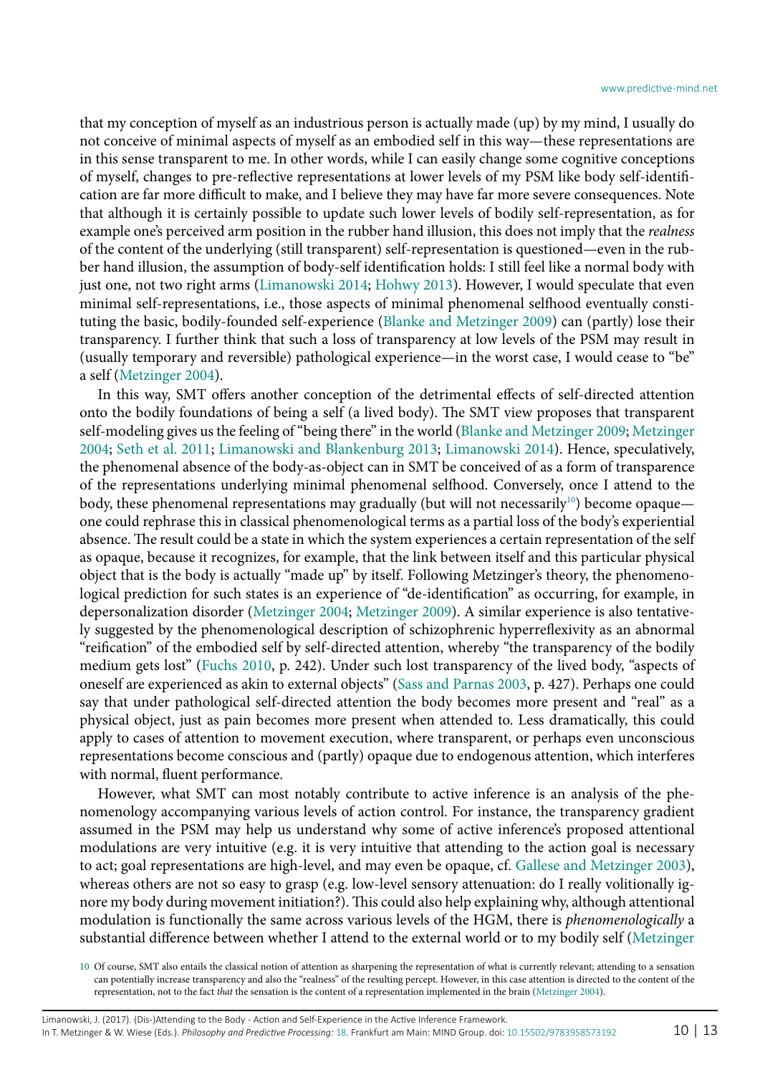that my conception of myself as an industrious person is actually made (up) by my mind, I usually do not conceive of minimal aspects of myself as an embodied self in this way—these representations are in this sense transparent to me. In other words, while I can easily change some cognitive conceptions of myself, changes to pre-reflective representations at lower levels of my PSM like body self-identification are far more difficult to make, and I believe they may have far more severe consequences. Note that although it is certainly possible to update such lower levels of bodily self-representation, as for example one's perceived arm position in the rubber hand illusion, this does not imply that the *realness* of the content of the underlying (still transparent) self-representation is questioned—even in the rubber hand illusion, the assumption of body-self identification holds: I still feel like a normal body with just one, not two right arms [\(Limanowski 2014](#page-12-22); [Hohwy 2013\)](#page-11-8). However, I would speculate that even minimal self-representations, i.e., those aspects of minimal phenomenal selfhood eventually constituting the basic, bodily-founded self-experience [\(Blanke and Metzinger 2009](#page-11-26)) can (partly) lose their transparency. I further think that such a loss of transparency at low levels of the PSM may result in (usually temporary and reversible) pathological experience—in the worst case, I would cease to "be" a self [\(Metzinger 2004](#page-12-17)).

In this way, SMT offers another conception of the detrimental effects of self-directed attention onto the bodily foundations of being a self (a lived body). The SMT view proposes that transparent self-modeling gives us the feeling of "being there" in the world ([Blanke and Metzinger 2009](#page-11-26); [Metzinger](#page-12-17) [2004](#page-12-17); [Seth et al. 2011](#page-12-23); [Limanowski and Blankenburg 2013;](#page-12-19) [Limanowski 2014](#page-12-22)). Hence, speculatively, the phenomenal absence of the body-as-object can in SMT be conceived of as a form of transparence of the representations underlying minimal phenomenal selfhood. Conversely, once I attend to the body, these phenomenal representations may gradually (but will not necessarily<sup>10</sup>) become opaque one could rephrase this in classical phenomenological terms as a partial loss of the body's experiential absence. The result could be a state in which the system experiences a certain representation of the self as opaque, because it recognizes, for example, that the link between itself and this particular physical object that is the body is actually "made up" by itself. Following Metzinger's theory, the phenomenological prediction for such states is an experience of "de-identification" as occurring, for example, in depersonalization disorder [\(Metzinger 2004](#page-12-17); [Metzinger 2009\)](#page-12-18). A similar experience is also tentatively suggested by the phenomenological description of schizophrenic hyperreflexivity as an abnormal "reification" of the embodied self by self-directed attention, whereby "the transparency of the bodily medium gets lost" ([Fuchs 2010,](#page-11-1) p. 242). Under such lost transparency of the lived body, "aspects of oneself are experienced as akin to external objects" ([Sass and Parnas 2003,](#page-12-24) p. 427). Perhaps one could say that under pathological self-directed attention the body becomes more present and "real" as a physical object, just as pain becomes more present when attended to. Less dramatically, this could apply to cases of attention to movement execution, where transparent, or perhaps even unconscious representations become conscious and (partly) opaque due to endogenous attention, which interferes with normal, fluent performance.

However, what SMT can most notably contribute to active inference is an analysis of the phenomenology accompanying various levels of action control. For instance, the transparency gradient assumed in the PSM may help us understand why some of active inference's proposed attentional modulations are very intuitive (e.g. it is very intuitive that attending to the action goal is necessary to act; goal representations are high-level, and may even be opaque, cf. [Gallese and Metzinger 2003](#page-11-27)), whereas others are not so easy to grasp (e.g. low-level sensory attenuation: do I really volitionally ignore my body during movement initiation?). This could also help explaining why, although attentional modulation is functionally the same across various levels of the HGM, there is *phenomenologically* a substantial difference between whether I attend to the external world or to my bodily self [\(Metzinger](#page-12-7)

<span id="page-9-0"></span><sup>10</sup> Of course, SMT also entails the classical notion of attention as sharpening the representation of what is currently relevant; attending to a sensation can potentially increase transparency and also the "realness" of the resulting percept. However, in this case attention is directed to the content of the representation, not to the fact *that* the sensation is the content of a representation implemented in the brain ([Metzinger 2004\)](#page-12-17).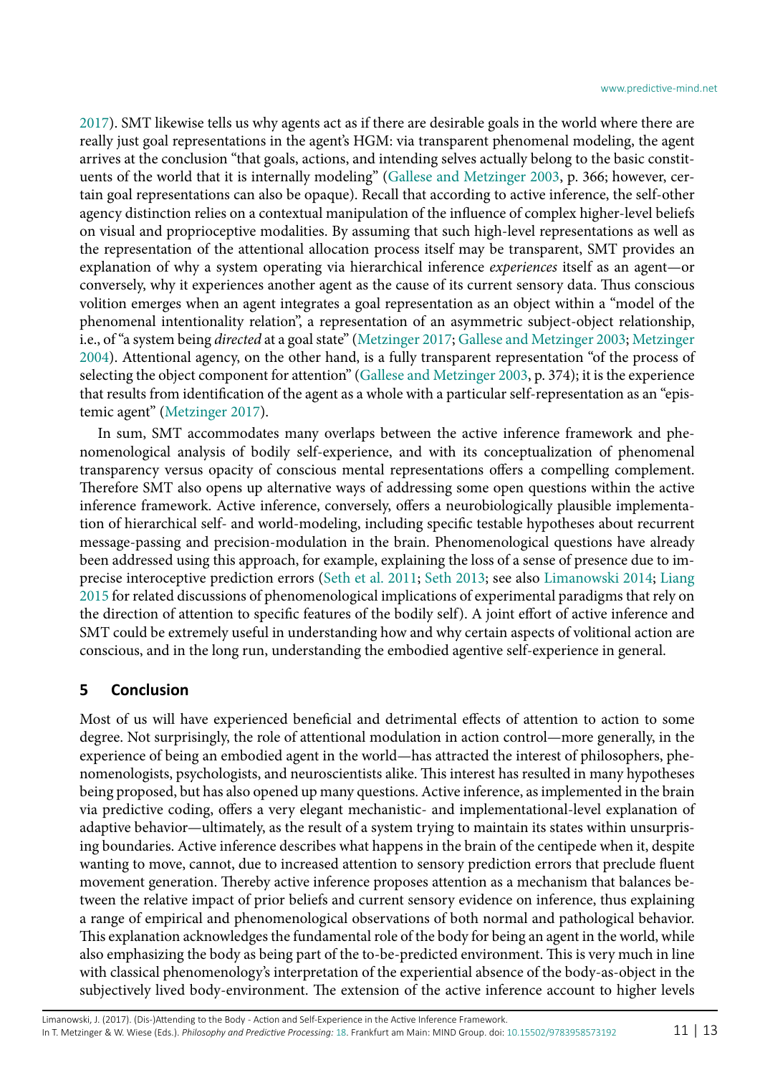[2017](#page-12-7)). SMT likewise tells us why agents act as if there are desirable goals in the world where there are really just goal representations in the agent's HGM: via transparent phenomenal modeling, the agent arrives at the conclusion "that goals, actions, and intending selves actually belong to the basic constituents of the world that it is internally modeling" ([Gallese and Metzinger 2003,](#page-11-27) p. 366; however, certain goal representations can also be opaque). Recall that according to active inference, the self-other agency distinction relies on a contextual manipulation of the influence of complex higher-level beliefs on visual and proprioceptive modalities. By assuming that such high-level representations as well as the representation of the attentional allocation process itself may be transparent, SMT provides an explanation of why a system operating via hierarchical inference *experiences* itself as an agent—or conversely, why it experiences another agent as the cause of its current sensory data. Thus conscious volition emerges when an agent integrates a goal representation as an object within a "model of the phenomenal intentionality relation", a representation of an asymmetric subject-object relationship, i.e., of "a system being *directed* at a goal state" ([Metzinger 2017](#page-12-7); [Gallese and Metzinger 2003](#page-11-27); [Metzinger](#page-12-17) [2004](#page-12-17)). Attentional agency, on the other hand, is a fully transparent representation "of the process of selecting the object component for attention" ([Gallese and Metzinger 2003,](#page-11-27) p. 374); it is the experience that results from identification of the agent as a whole with a particular self-representation as an "epistemic agent" [\(Metzinger 2017\)](#page-12-7).

In sum, SMT accommodates many overlaps between the active inference framework and phenomenological analysis of bodily self-experience, and with its conceptualization of phenomenal transparency versus opacity of conscious mental representations offers a compelling complement. Therefore SMT also opens up alternative ways of addressing some open questions within the active inference framework. Active inference, conversely, offers a neurobiologically plausible implementation of hierarchical self- and world-modeling, including specific testable hypotheses about recurrent message-passing and precision-modulation in the brain. Phenomenological questions have already been addressed using this approach, for example, explaining the loss of a sense of presence due to imprecise interoceptive prediction errors ([Seth et al. 2011](#page-12-23); [Seth 2013](#page-12-25); see also [Limanowski 2014](#page-12-22); [Liang](#page-12-2) [2015](#page-12-2) for related discussions of phenomenological implications of experimental paradigms that rely on the direction of attention to specific features of the bodily self). A joint effort of active inference and SMT could be extremely useful in understanding how and why certain aspects of volitional action are conscious, and in the long run, understanding the embodied agentive self-experience in general.

#### **5 Conclusion**

Most of us will have experienced beneficial and detrimental effects of attention to action to some degree. Not surprisingly, the role of attentional modulation in action control—more generally, in the experience of being an embodied agent in the world—has attracted the interest of philosophers, phenomenologists, psychologists, and neuroscientists alike. This interest has resulted in many hypotheses being proposed, but has also opened up many questions. Active inference, as implemented in the brain via predictive coding, offers a very elegant mechanistic- and implementational-level explanation of adaptive behavior—ultimately, as the result of a system trying to maintain its states within unsurprising boundaries. Active inference describes what happens in the brain of the centipede when it, despite wanting to move, cannot, due to increased attention to sensory prediction errors that preclude fluent movement generation. Thereby active inference proposes attention as a mechanism that balances between the relative impact of prior beliefs and current sensory evidence on inference, thus explaining a range of empirical and phenomenological observations of both normal and pathological behavior. This explanation acknowledges the fundamental role of the body for being an agent in the world, while also emphasizing the body as being part of the to-be-predicted environment. This is very much in line with classical phenomenology's interpretation of the experiential absence of the body-as-object in the subjectively lived body-environment. The extension of the active inference account to higher levels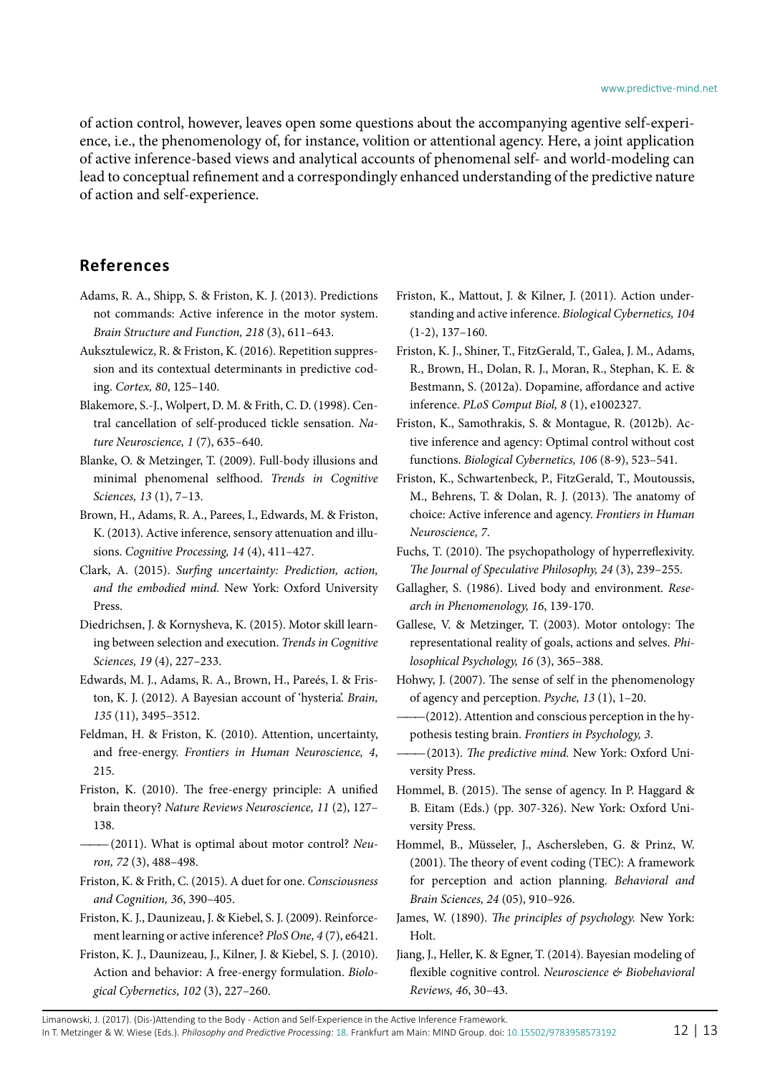of action control, however, leaves open some questions about the accompanying agentive self-experience, i.e., the phenomenology of, for instance, volition or attentional agency. Here, a joint application of active inference-based views and analytical accounts of phenomenal self- and world-modeling can lead to conceptual refinement and a correspondingly enhanced understanding of the predictive nature of action and self-experience.

## **References**

- <span id="page-11-11"></span>Adams, R. A., Shipp, S. & Friston, K. J. (2013). Predictions not commands: Active inference in the motor system. *Brain Structure and Function, 218* (3), 611–643.
- <span id="page-11-13"></span>Auksztulewicz, R. & Friston, K. (2016). Repetition suppression and its contextual determinants in predictive coding. *Cortex, 80*, 125–140.
- <span id="page-11-19"></span>Blakemore, S.-J., Wolpert, D. M. & Frith, C. D. (1998). Central cancellation of self-produced tickle sensation. *Nature Neuroscience, 1* (7), 635–640.
- <span id="page-11-26"></span>Blanke, O. & Metzinger, T. (2009). Full-body illusions and minimal phenomenal selfhood. *Trends in Cognitive Sciences, 13* (1), 7–13.
- <span id="page-11-5"></span>Brown, H., Adams, R. A., Parees, I., Edwards, M. & Friston, K. (2013). Active inference, sensory attenuation and illusions. *Cognitive Processing, 14* (4), 411–427.
- <span id="page-11-4"></span>Clark, A. (2015). *Surfing uncertainty: Prediction, action, and the embodied mind.* New York: Oxford University Press.
- <span id="page-11-2"></span>Diedrichsen, J. & Kornysheva, K. (2015). Motor skill learning between selection and execution. *Trends in Cognitive Sciences, 19* (4), 227–233.
- <span id="page-11-14"></span>Edwards, M. J., Adams, R. A., Brown, H., Pareés, I. & Friston, K. J. (2012). A Bayesian account of 'hysteria'. *Brain, 135* (11), 3495–3512.
- <span id="page-11-12"></span>Feldman, H. & Friston, K. (2010). Attention, uncertainty, and free-energy. *Frontiers in Human Neuroscience, 4*, 215.
- <span id="page-11-7"></span>Friston, K. (2010). The free-energy principle: A unified brain theory? *Nature Reviews Neuroscience, 11* (2), 127– 138.
- <span id="page-11-18"></span> $-(2011)$ . What is optimal about motor control? Neu*ron, 72* (3), 488–498.
- <span id="page-11-20"></span>Friston, K. & Frith, C. (2015). A duet for one. *Consciousness and Cognition, 36*, 390–405.
- <span id="page-11-6"></span>Friston, K. J., Daunizeau, J. & Kiebel, S. J. (2009). Reinforcement learning or active inference? *PloS One, 4* (7), e6421.
- <span id="page-11-9"></span>Friston, K. J., Daunizeau, J., Kilner, J. & Kiebel, S. J. (2010). Action and behavior: A free-energy formulation. *Biological Cybernetics, 102* (3), 227–260.
- <span id="page-11-15"></span>Friston, K., Mattout, J. & Kilner, J. (2011). Action understanding and active inference. *Biological Cybernetics, 104* (1-2), 137–160.
- <span id="page-11-10"></span>Friston, K. J., Shiner, T., FitzGerald, T., Galea, J. M., Adams, R., Brown, H., Dolan, R. J., Moran, R., Stephan, K. E. & Bestmann, S. (2012a). Dopamine, affordance and active inference. *PLoS Comput Biol, 8* (1), e1002327.
- <span id="page-11-16"></span>Friston, K., Samothrakis, S. & Montague, R. (2012b). Active inference and agency: Optimal control without cost functions. *Biological Cybernetics, 106* (8-9), 523–541.
- <span id="page-11-22"></span>Friston, K., Schwartenbeck, P., FitzGerald, T., Moutoussis, M., Behrens, T. & Dolan, R. J. (2013). The anatomy of choice: Active inference and agency. *Frontiers in Human Neuroscience, 7*.
- <span id="page-11-1"></span>Fuchs, T. (2010). The psychopathology of hyperreflexivity. *The Journal of Speculative Philosophy, 24* (3), 239–255.
- <span id="page-11-0"></span>Gallagher, S. (1986). Lived body and environment. *Research in Phenomenology, 16*, 139-170.
- <span id="page-11-27"></span>Gallese, V. & Metzinger, T. (2003). Motor ontology: The representational reality of goals, actions and selves. *Philosophical Psychology, 16* (3), 365–388.
- <span id="page-11-21"></span>Hohwy, J. (2007). The sense of self in the phenomenology of agency and perception. *Psyche, 13* (1), 1–20.
- <span id="page-11-3"></span> $-(2012)$ . Attention and conscious perception in the hypothesis testing brain. *Frontiers in Psychology, 3*.
- <span id="page-11-8"></span>*———*(2013). *The predictive mind.* New York: Oxford University Press.
- <span id="page-11-23"></span>Hommel, B. (2015). The sense of agency. In P. Haggard & B. Eitam (Eds.) (pp. 307-326). New York: Oxford University Press.
- <span id="page-11-24"></span>Hommel, B., Müsseler, J., Aschersleben, G. & Prinz, W. (2001). The theory of event coding (TEC): A framework for perception and action planning. *Behavioral and Brain Sciences, 24* (05), 910–926.
- <span id="page-11-17"></span>James, W. (1890). *The principles of psychology.* New York: Holt.
- <span id="page-11-25"></span>Jiang, J., Heller, K. & Egner, T. (2014). Bayesian modeling of flexible cognitive control. *Neuroscience & Biobehavioral Reviews, 46*, 30–43.